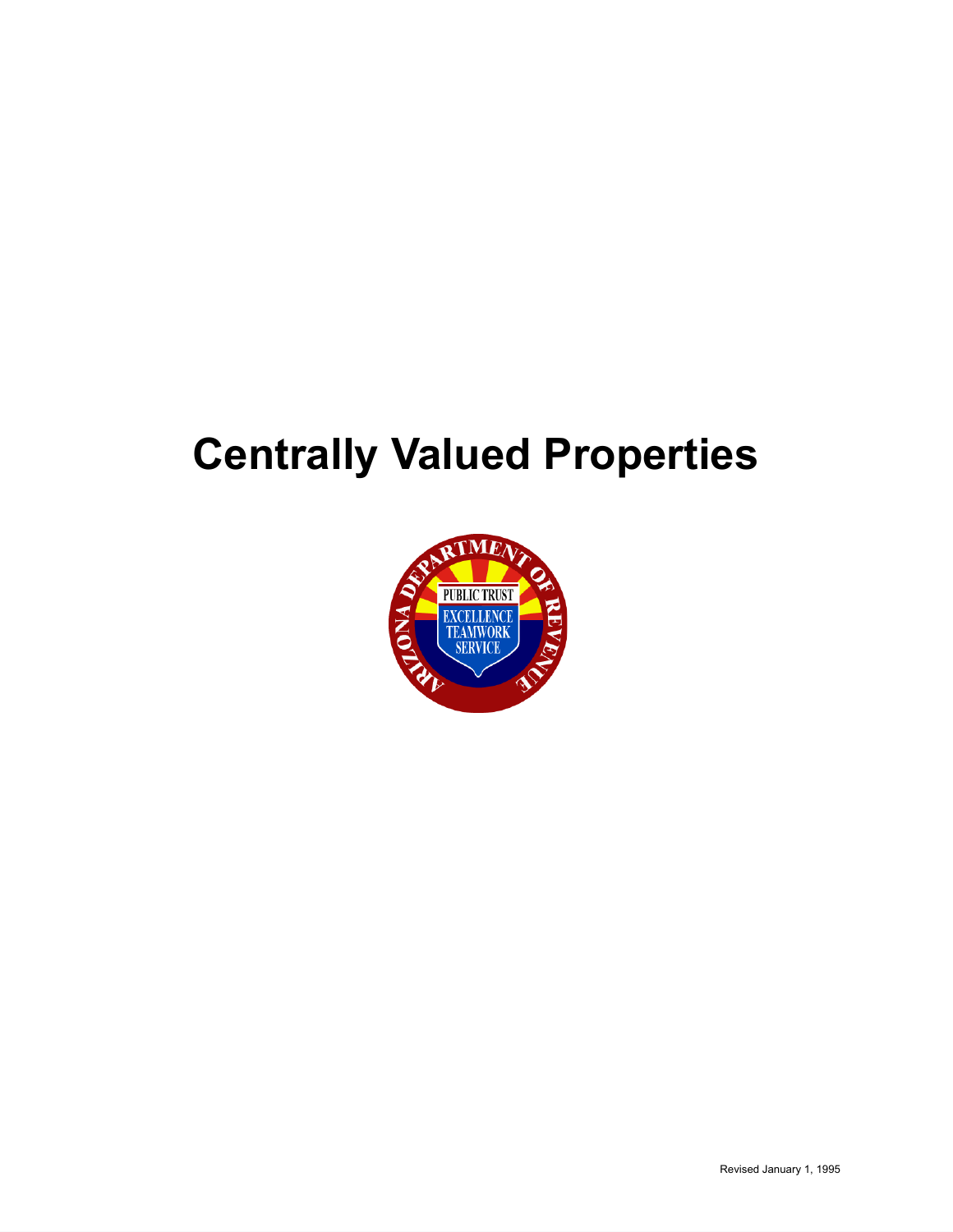# **Centrally Valued Properties**

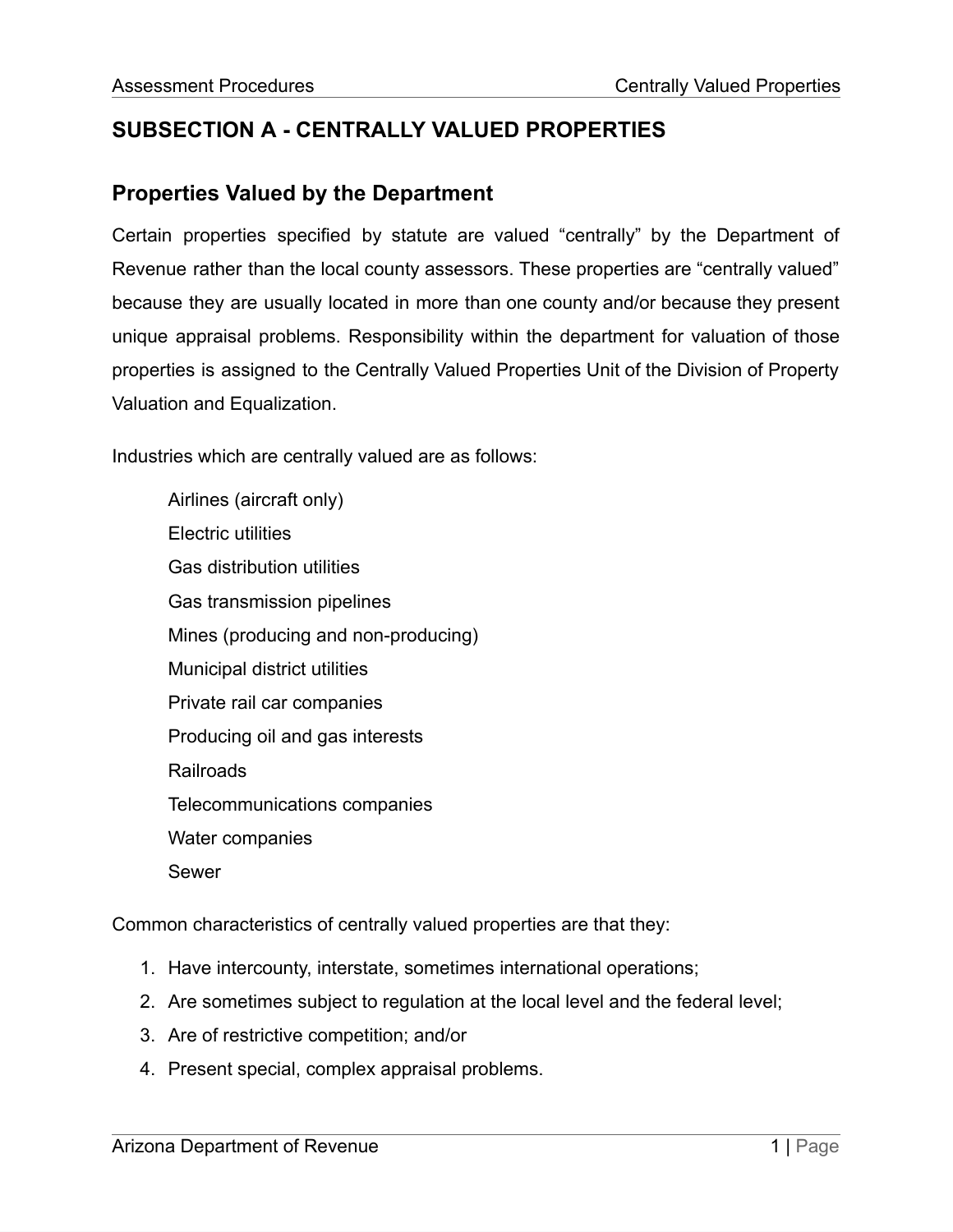## **SUBSECTION A - CENTRALLY VALUED PROPERTIES**

## **Properties Valued by the Department**

Certain properties specified by statute are valued "centrally" by the Department of Revenue rather than the local county assessors. These properties are "centrally valued" because they are usually located in more than one county and/or because they present unique appraisal problems. Responsibility within the department for valuation of those properties is assigned to the Centrally Valued Properties Unit of the Division of Property Valuation and Equalization.

Industries which are centrally valued are as follows:

Airlines (aircraft only) Electric utilities Gas distribution utilities Gas transmission pipelines Mines (producing and non-producing) Municipal district utilities Private rail car companies Producing oil and gas interests Railroads Telecommunications companies Water companies Sewer

Common characteristics of centrally valued properties are that they:

- 1. Have intercounty, interstate, sometimes international operations;
- 2. Are sometimes subject to regulation at the local level and the federal level;
- 3. Are of restrictive competition; and/or
- 4. Present special, complex appraisal problems.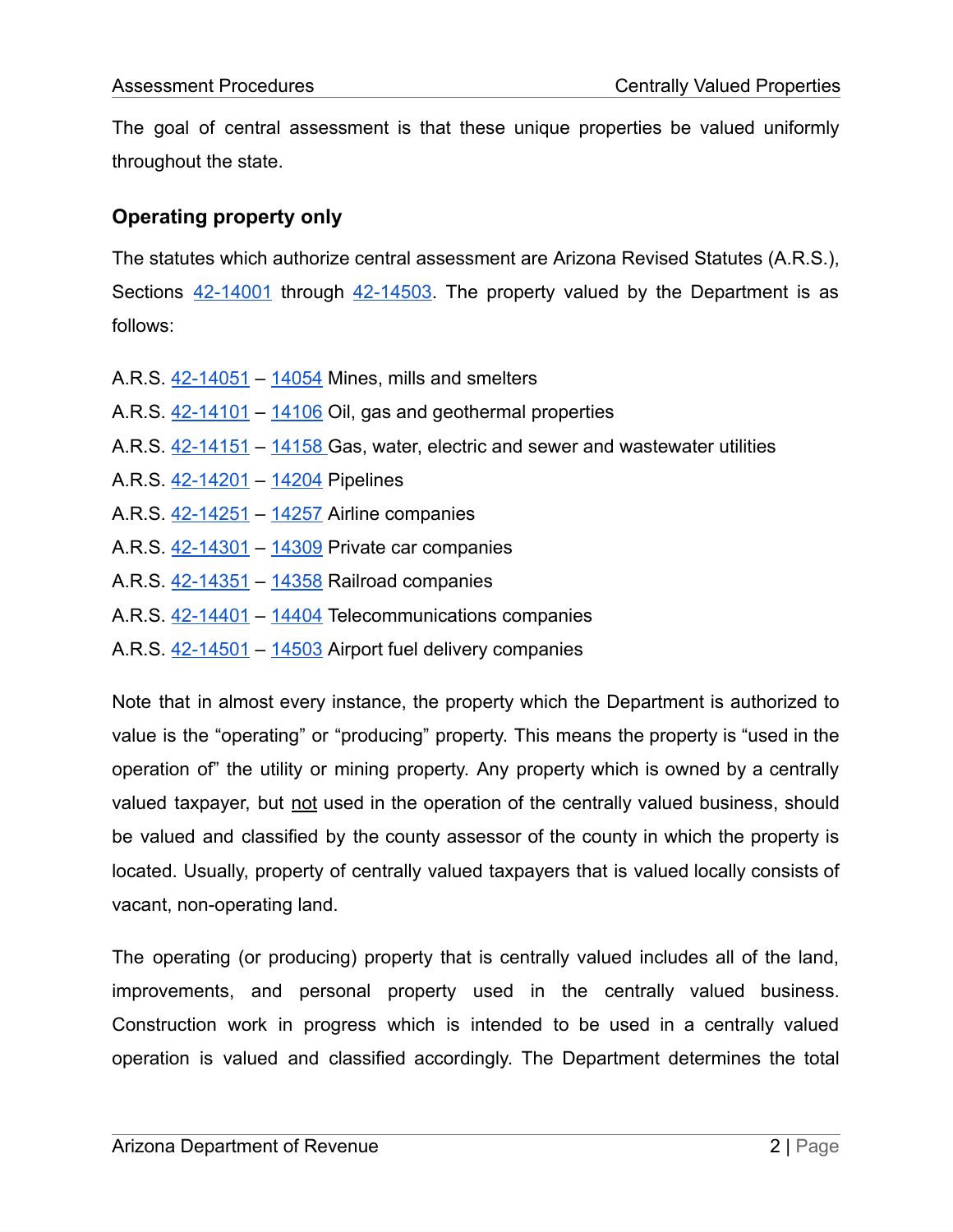The goal of central assessment is that these unique properties be valued uniformly throughout the state.

## **Operating property only**

The statutes which authorize central assessment are Arizona Revised Statutes (A.R.S.), Sections [42-14001](https://www.azleg.gov/viewDocument/?docName=http://www.azleg.gov/ars/42/14001.htm) through [42-14503.](https://www.azleg.gov/viewDocument/?docName=http://www.azleg.gov/ars/42/14503.htm) The property valued by the Department is as follows:

- A.R.S. [42-14051](https://www.azleg.gov/viewDocument/?docName=http://www.azleg.gov/ars/42/14051.htm) [14054](https://www.azleg.gov/viewDocument/?docName=http://www.azleg.gov/ars/42/14054.htm) Mines, mills and smelters
- A.R.S. [42-14101](https://www.azleg.gov/viewDocument/?docName=http://www.azleg.gov/ars/42/14101.htm) [14106](https://www.azleg.gov/viewDocument/?docName=http://www.azleg.gov/ars/42/14106.htm) Oil, gas and geothermal properties
- A.R.S. [42-14151](https://www.azleg.gov/viewDocument/?docName=http://www.azleg.gov/ars/42/14151.htm) [14158](https://www.azleg.gov/viewDocument/?docName=http://www.azleg.gov/ars/42/14158.htm) Gas, water, electric and sewer and wastewater utilities
- A.R.S. [42-14201](https://www.azleg.gov/viewDocument/?docName=http://www.azleg.gov/ars/42/14201.htm) [14204](https://www.azleg.gov/viewDocument/?docName=http://www.azleg.gov/ars/42/14204.htm) Pipelines
- A.R.S. [42-14251](https://www.azleg.gov/viewDocument/?docName=http://www.azleg.gov/ars/42/14251.htm) [14257](https://www.azleg.gov/viewDocument/?docName=http://www.azleg.gov/ars/42/14257.htm) Airline companies
- A.R.S. [42-14301](https://www.azleg.gov/viewDocument/?docName=http://www.azleg.gov/ars/42/14301.htm) [14309](https://www.azleg.gov/searchresultsDOC/?insearch=42-14309&titles=0) Private car companies
- A.R.S. [42-14351](https://www.azleg.gov/viewDocument/?docName=http://www.azleg.gov/ars/42/14351.htm) [14358](https://www.azleg.gov/viewDocument/?docName=http://www.azleg.gov/ars/42/14358.htm) Railroad companies
- A.R.S. [42-14401](https://www.azleg.gov/viewDocument/?docName=http://www.azleg.gov/ars/42/14401.htm) [14404](https://www.azleg.gov/viewDocument/?docName=http://www.azleg.gov/ars/42/14404.htm) Telecommunications companies
- A.R.S. [42-14501](https://www.azleg.gov/viewDocument/?docName=http://www.azleg.gov/ars/42/14501.htm) [14503](https://www.azleg.gov/viewDocument/?docName=http://www.azleg.gov/ars/42/14503.htm) Airport fuel delivery companies

Note that in almost every instance, the property which the Department is authorized to value is the "operating" or "producing" property. This means the property is "used in the operation of" the utility or mining property. Any property which is owned by a centrally valued taxpayer, but not used in the operation of the centrally valued business, should be valued and classified by the county assessor of the county in which the property is located. Usually, property of centrally valued taxpayers that is valued locally consists of vacant, non-operating land.

The operating (or producing) property that is centrally valued includes all of the land, improvements, and personal property used in the centrally valued business. Construction work in progress which is intended to be used in a centrally valued operation is valued and classified accordingly. The Department determines the total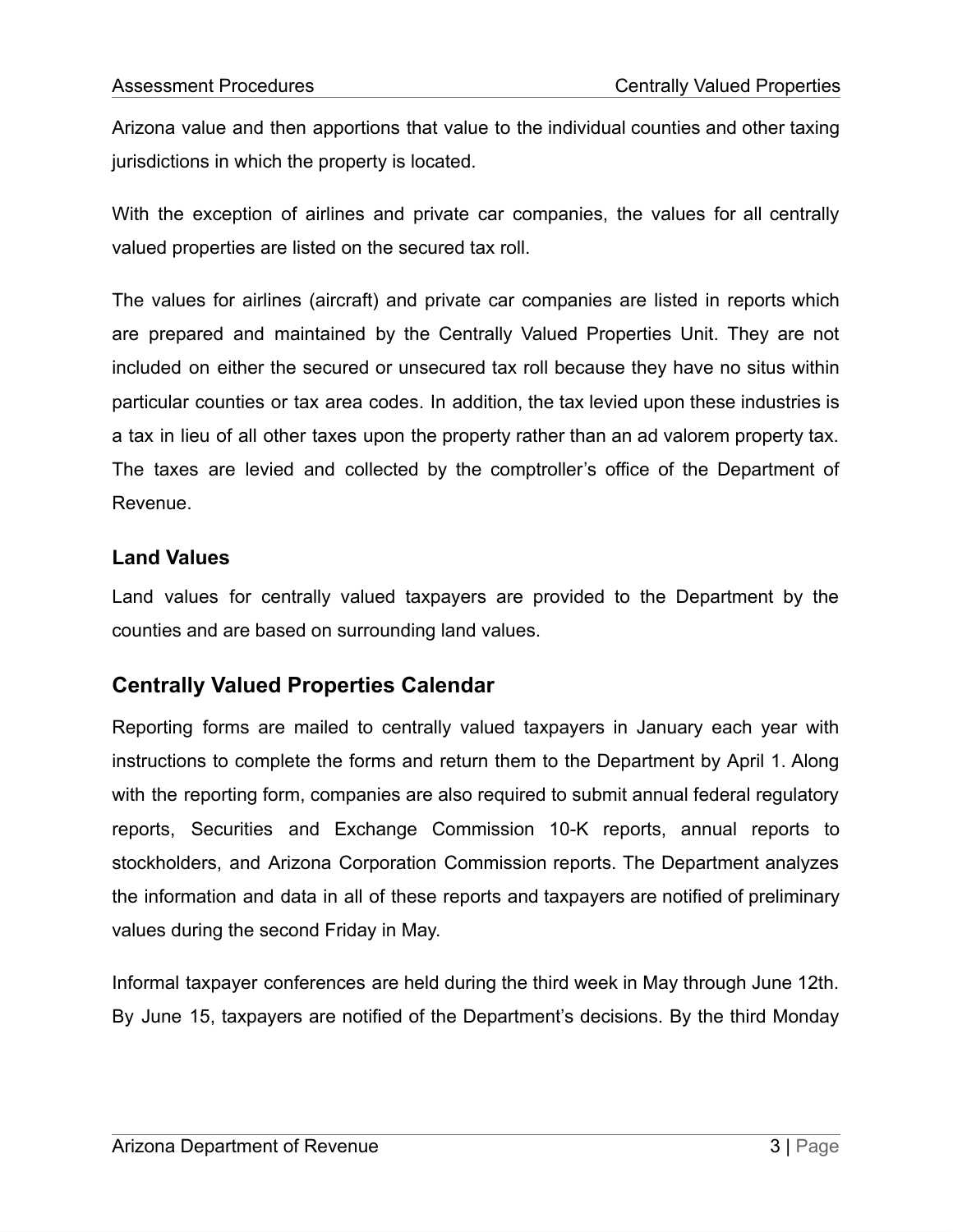Arizona value and then apportions that value to the individual counties and other taxing jurisdictions in which the property is located.

With the exception of airlines and private car companies, the values for all centrally valued properties are listed on the secured tax roll.

The values for airlines (aircraft) and private car companies are listed in reports which are prepared and maintained by the Centrally Valued Properties Unit. They are not included on either the secured or unsecured tax roll because they have no situs within particular counties or tax area codes. In addition, the tax levied upon these industries is a tax in lieu of all other taxes upon the property rather than an ad valorem property tax. The taxes are levied and collected by the comptroller's office of the Department of Revenue.

#### **Land Values**

Land values for centrally valued taxpayers are provided to the Department by the counties and are based on surrounding land values.

## **Centrally Valued Properties Calendar**

Reporting forms are mailed to centrally valued taxpayers in January each year with instructions to complete the forms and return them to the Department by April 1. Along with the reporting form, companies are also required to submit annual federal regulatory reports, Securities and Exchange Commission 10-K reports, annual reports to stockholders, and Arizona Corporation Commission reports. The Department analyzes the information and data in all of these reports and taxpayers are notified of preliminary values during the second Friday in May.

Informal taxpayer conferences are held during the third week in May through June 12th. By June 15, taxpayers are notified of the Department's decisions. By the third Monday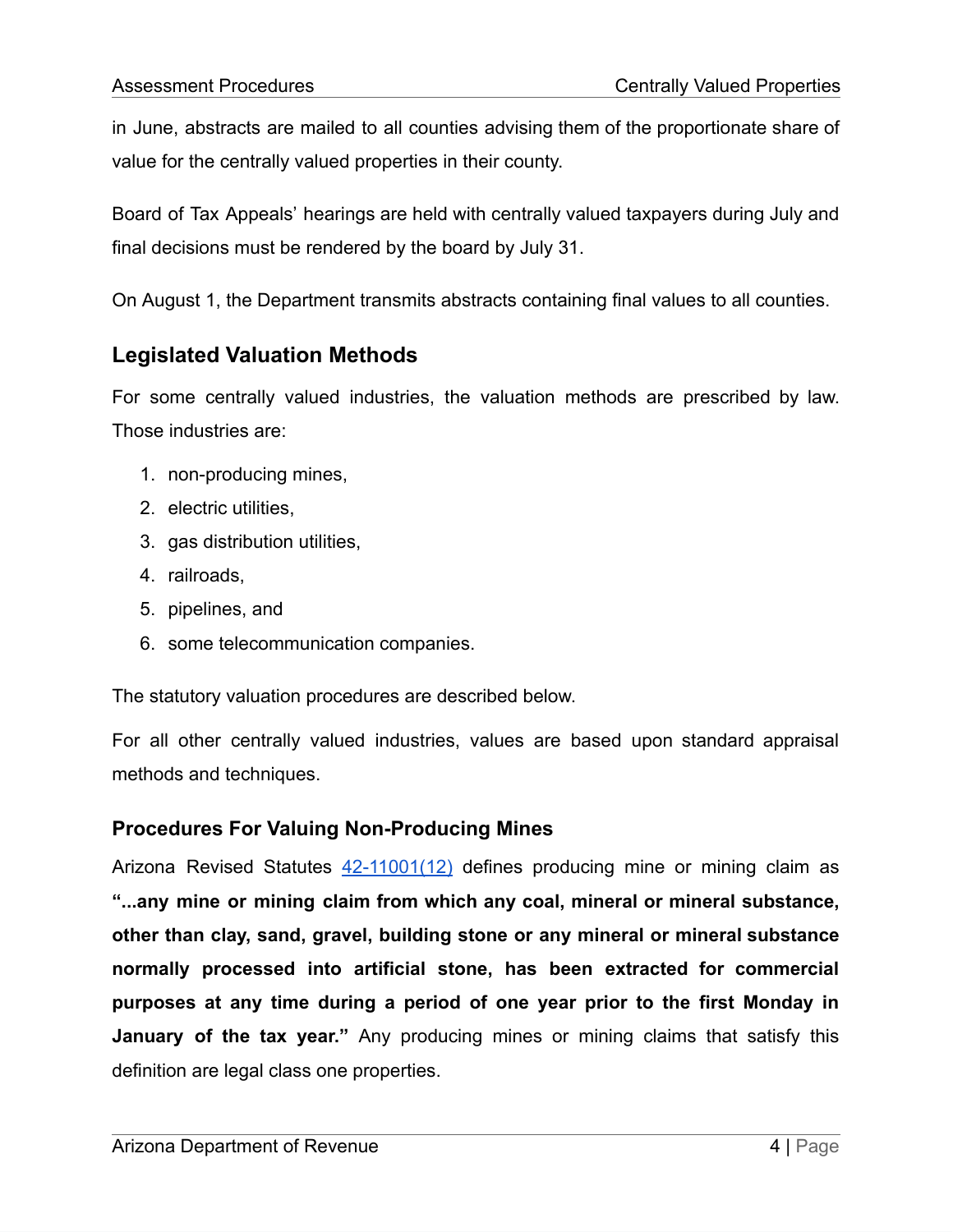in June, abstracts are mailed to all counties advising them of the proportionate share of value for the centrally valued properties in their county.

Board of Tax Appeals' hearings are held with centrally valued taxpayers during July and final decisions must be rendered by the board by July 31.

On August 1, the Department transmits abstracts containing final values to all counties.

## **Legislated Valuation Methods**

For some centrally valued industries, the valuation methods are prescribed by law. Those industries are:

- 1. non-producing mines,
- 2. electric utilities,
- 3. gas distribution utilities,
- 4. railroads,
- 5. pipelines, and
- 6. some telecommunication companies.

The statutory valuation procedures are described below.

For all other centrally valued industries, values are based upon standard appraisal methods and techniques.

### **Procedures For Valuing Non-Producing Mines**

Arizona Revised Statutes [42-11001\(12\)](https://www.azleg.gov/viewDocument/?docName=http://www.azleg.gov/ars/42/11001.htm) defines producing mine or mining claim as **"...any mine or mining claim from which any coal, mineral or mineral substance, other than clay, sand, gravel, building stone or any mineral or mineral substance normally processed into artificial stone, has been extracted for commercial purposes at any time during a period of one year prior to the first Monday in January of the tax year."** Any producing mines or mining claims that satisfy this definition are legal class one properties.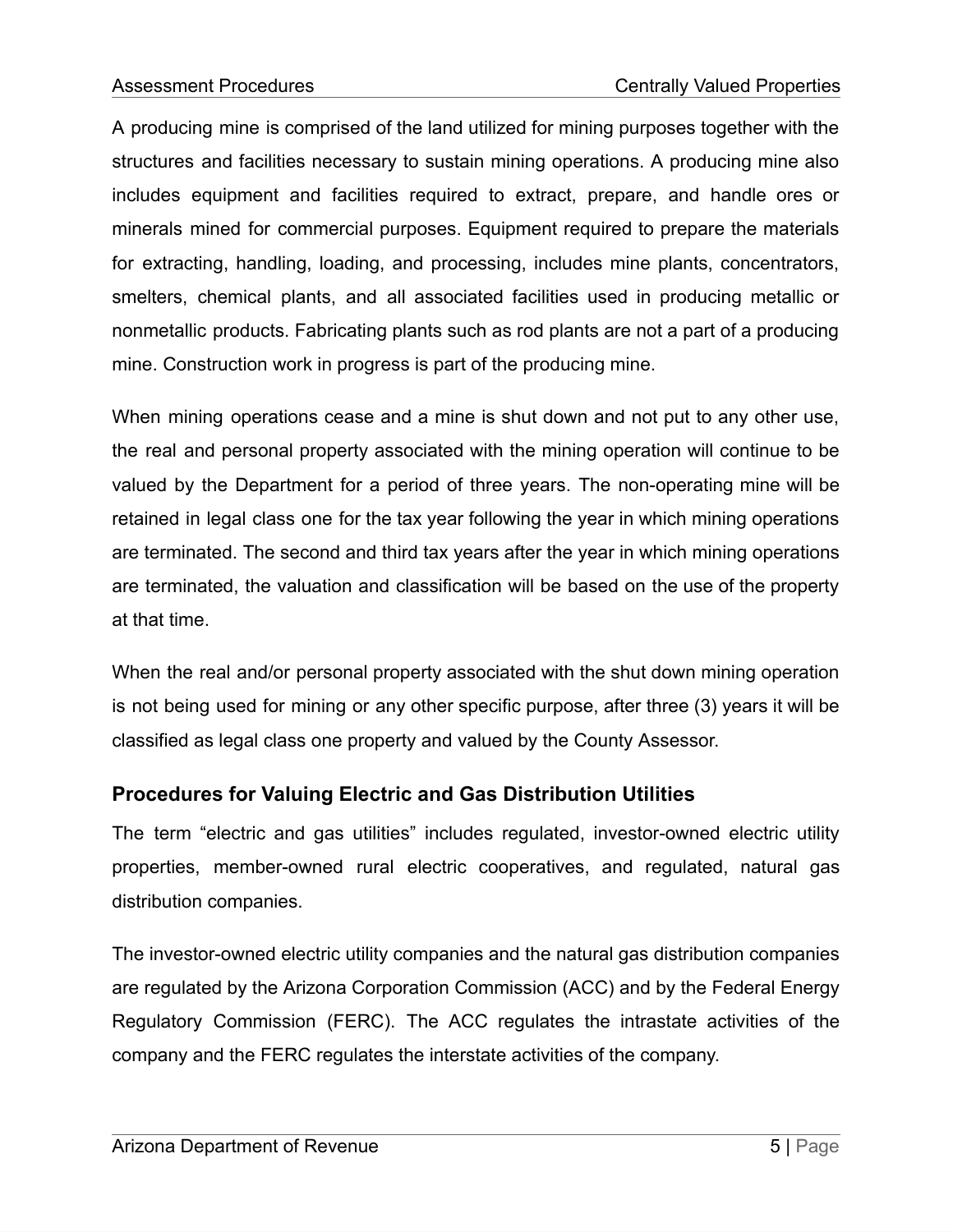A producing mine is comprised of the land utilized for mining purposes together with the structures and facilities necessary to sustain mining operations. A producing mine also includes equipment and facilities required to extract, prepare, and handle ores or minerals mined for commercial purposes. Equipment required to prepare the materials for extracting, handling, loading, and processing, includes mine plants, concentrators, smelters, chemical plants, and all associated facilities used in producing metallic or nonmetallic products. Fabricating plants such as rod plants are not a part of a producing mine. Construction work in progress is part of the producing mine.

When mining operations cease and a mine is shut down and not put to any other use, the real and personal property associated with the mining operation will continue to be valued by the Department for a period of three years. The non-operating mine will be retained in legal class one for the tax year following the year in which mining operations are terminated. The second and third tax years after the year in which mining operations are terminated, the valuation and classification will be based on the use of the property at that time.

When the real and/or personal property associated with the shut down mining operation is not being used for mining or any other specific purpose, after three (3) years it will be classified as legal class one property and valued by the County Assessor.

### **Procedures for Valuing Electric and Gas Distribution Utilities**

The term "electric and gas utilities" includes regulated, investor-owned electric utility properties, member-owned rural electric cooperatives, and regulated, natural gas distribution companies.

The investor-owned electric utility companies and the natural gas distribution companies are regulated by the Arizona Corporation Commission (ACC) and by the Federal Energy Regulatory Commission (FERC). The ACC regulates the intrastate activities of the company and the FERC regulates the interstate activities of the company.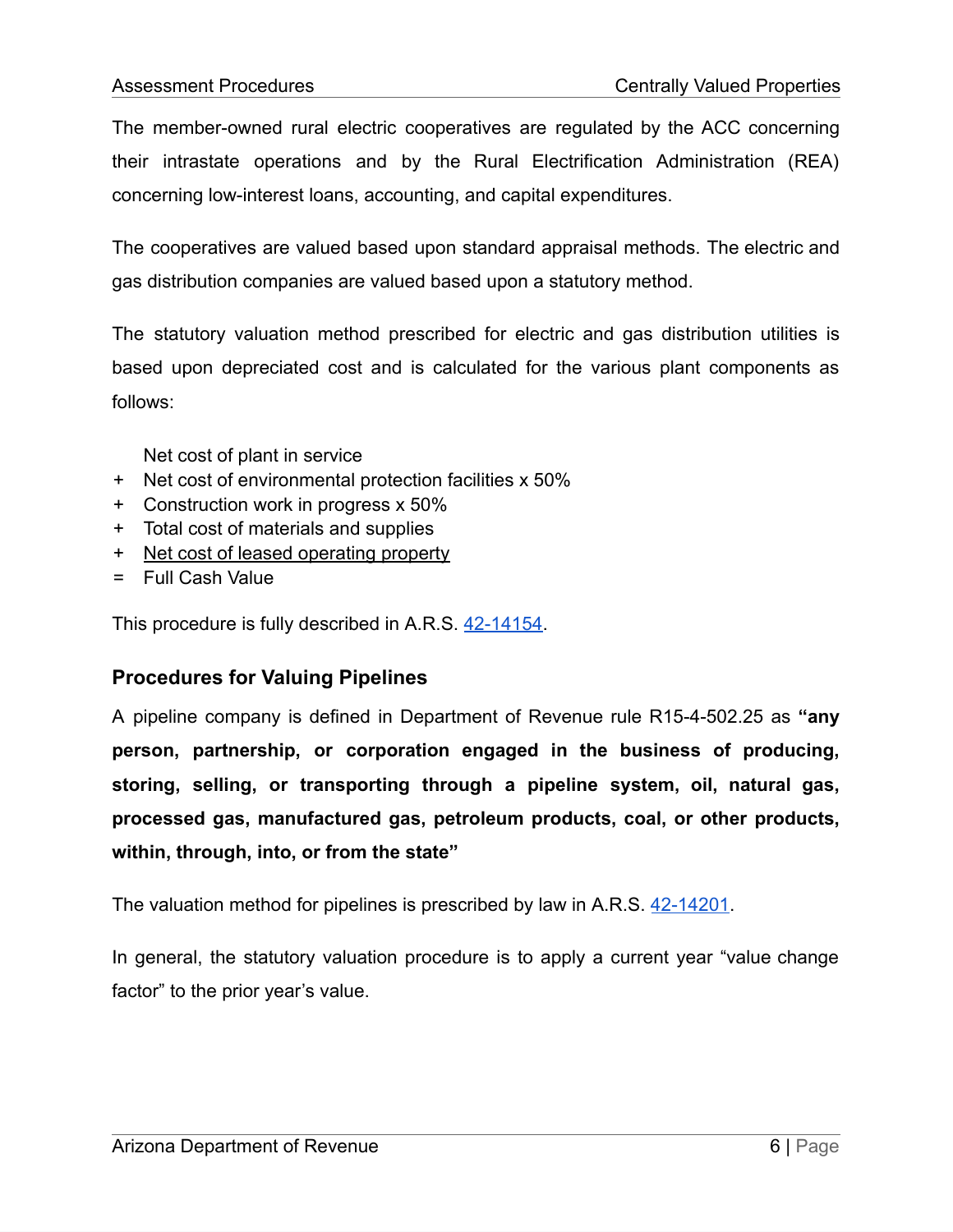The member-owned rural electric cooperatives are regulated by the ACC concerning their intrastate operations and by the Rural Electrification Administration (REA) concerning low-interest loans, accounting, and capital expenditures.

The cooperatives are valued based upon standard appraisal methods. The electric and gas distribution companies are valued based upon a statutory method.

The statutory valuation method prescribed for electric and gas distribution utilities is based upon depreciated cost and is calculated for the various plant components as follows:

Net cost of plant in service

- + Net cost of environmental protection facilities x 50%
- + Construction work in progress x 50%
- + Total cost of materials and supplies
- + Net cost of leased operating property
- = Full Cash Value

This procedure is fully described in A.R.S. [42-14154.](https://www.azleg.gov/viewDocument/?docName=http://www.azleg.gov/ars/42/14154.htm)

#### **Procedures for Valuing Pipelines**

A pipeline company is defined in Department of Revenue rule R15-4-502.25 as **"any person, partnership, or corporation engaged in the business of producing, storing, selling, or transporting through a pipeline system, oil, natural gas, processed gas, manufactured gas, petroleum products, coal, or other products, within, through, into, or from the state"**

The valuation method for pipelines is prescribed by law in A.R.S. [42-14201.](https://www.azleg.gov/viewDocument/?docName=http://www.azleg.gov/ars/42/14201.htm)

In general, the statutory valuation procedure is to apply a current year "value change factor" to the prior year's value.